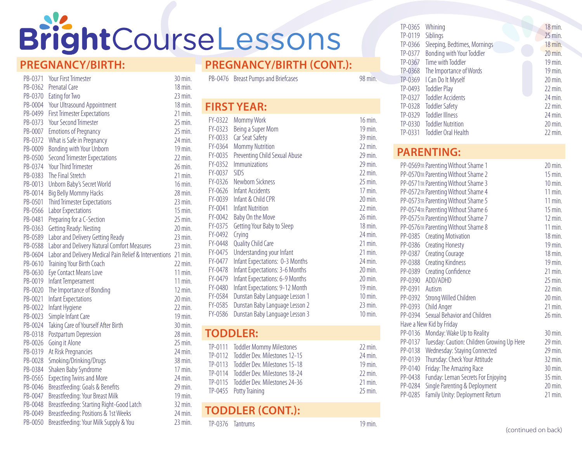# BrightCourseLessons

#### **PREGNANCY/BIRTH:**

| PB-0371 | <b>Your First Trimester</b>                                    | 30 min.               |
|---------|----------------------------------------------------------------|-----------------------|
| PB-0362 | Prenatal Care                                                  | $18$ min.             |
| PB-0370 | Eating for Two                                                 | $23$ min.             |
| PB-0004 | Your Ultrasound Appointment                                    | $18$ min.             |
| PB-0499 | <b>First Trimester Expectations</b>                            | $21$ min.             |
| PB-0373 | <b>Your Second Trimester</b>                                   | $25$ min.             |
| PB-0007 | <b>Emotions of Pregnancy</b>                                   | $25$ min.             |
| PB-0372 | What is Safe in Pregnancy                                      | 24 min.               |
| PB-0009 | Bonding with Your Unborn                                       | 19 min.               |
| PB-0500 | <b>Second Trimester Expectations</b>                           | $22$ min.             |
| PB-0374 | <b>Your Third Trimester</b>                                    | 26 min.               |
| PB-0383 | The Final Stretch                                              | $21$ min.             |
| PB-0013 | Unborn Baby's Secret World                                     | 16 min.               |
| PB-0014 | <b>Big Belly Mommy Hacks</b>                                   | 28 min.               |
| PB-0501 | <b>Third Trimester Expectations</b>                            | $23$ min.             |
| PB-0566 | Labor Expectations                                             | $15$ min              |
| PB-0481 | Preparing for a C-Section                                      | $25$ min.             |
| PB-0363 | Getting Ready: Nesting                                         | $20 \,\mathrm{min}$ . |
| PB-0589 | Labor and Delivery Getting Ready                               | $23$ min.             |
| PB-0588 | Labor and Delivery Natural Comfort Measures                    | $23$ min.             |
| PB-0604 | Labor and Delivery Medical Pain Relief & Interventions 21 min. |                       |
| PB-0610 | Training Your Birth Coach                                      | $22$ min.             |
| PB-0630 | Eye Contact Means Love                                         | $11$ min.             |
| PB-0019 | Infant Temperament                                             | 11 min.               |
| PB-0020 | The Importance of Bonding                                      | $12 \text{ min.}$     |
| PB-0021 | Infant Expectations                                            | 20 min.               |
| PB-0022 | Infant Hygiene                                                 | $22$ min.             |
| PB-0023 | Simple Infant Care                                             | $19$ min.             |
| PB-0024 | Taking Care of Yourself After Birth                            | 30 min.               |
| PB-0318 | Postpartum Depression                                          | 28 min.               |
| PB-0026 | Going it Alone                                                 | $25$ min.             |
| PB-0319 | At Risk Pregnancies                                            | 24 min.               |
| PB-0028 | Smoking/Drinking/Drugs                                         | 38 min.               |
| PB-0384 | Shaken Baby Syndrome                                           | 17 min.               |
| PB-0565 | <b>Expecting Twins and More</b>                                | 24 min.               |
| PB-0046 | Breastfeeding: Goals & Benefits                                | 29 min.               |
| PB-0047 | Breastfeeding: Your Breast Milk                                | 19 min.               |
| PB-0048 | Breastfeeding: Starting Right-Good Latch                       | $32$ min.             |
| PB-0049 | Breastfeeding: Positions & 1st Weeks                           | 24 min.               |
| PB-0050 | Breastfeeding: Your Milk Supply & You                          | $23$ min.             |

#### **PREGNANCY/BIRTH (CONT.):**

| PB-0476   | <b>Breast Pumps and Briefcases</b> | 98 min.            |  |
|-----------|------------------------------------|--------------------|--|
|           | <b>FIRST YEAR:</b>                 |                    |  |
| FY-0322   | Mommy Work                         | $16$ min.          |  |
| FY-0323   | Being a Super Mom                  | 19 min.            |  |
| FY-0033   | Car Seat Safety                    | 39 min.            |  |
| FY-0364   | <b>Mommy Nutrition</b>             | $22 \text{ min}$   |  |
| FY-0035   | Preventing Child Sexual Abuse      | 29 min.            |  |
| FY-0352   | <i>Immunizations</i>               | 29 min.            |  |
| FY-0037   | <b>SIDS</b>                        | $22 \text{ min}$   |  |
| FY-0326   | Newborn Sickness                   | 25 min.            |  |
| $FY-0626$ | Infant Accidents                   | $17$ min.          |  |
| FY-0039   | Infant & Child CPR                 | $20 \text{ min}$   |  |
| FY-0041   | <b>Infant Nutrition</b>            | $22$ min.          |  |
| FY-0042   | Baby On the Move                   | 26 min.            |  |
| FY-0375   | Getting Your Baby to Sleep         | $18$ min.          |  |
| FY-0492   | Crying                             | 24 min.            |  |
| FY-0448   | Quality Child Care                 | $21$ min.          |  |
| FY-0475   | Understanding your Infant          | $21$ min.          |  |
| FY-0477   | Infant Expectations: 0-3 Months    | $24$ min.          |  |
| FY-0478   | Infant Expectations: 3-6 Months    | $20$ min.          |  |
| FY-0479   | Infant Expectations: 6-9 Months    | 20 min.            |  |
| FY-0480   | Infant Expectations: 9-12 Month    | 19 min.            |  |
| FY-0584   | Dunstan Baby Language Lesson 1     | $10 \text{ min}$ . |  |
| FY-0585   | Dunstan Baby Language Lesson 2     | $23$ min.          |  |
| FY-0586   | Dunstan Baby Language Lesson 3     | $10 \text{ min}$ . |  |
|           |                                    |                    |  |

#### **TODDLER:**

|  | TP-0111 Toddler Mommy Milestones      | $22 \text{ min}$ .  |
|--|---------------------------------------|---------------------|
|  | TP-0112 Toddler Dev. Milestones 12-15 | $24 \,\mathrm{min}$ |
|  | TP-0113 Toddler Dev. Milestones 15-18 | $19 \,\mathrm{min}$ |
|  | TP-0114 Toddler Dev. Milestones 18-24 | $22$ min.           |
|  | TP-0115 Toddler Dev. Milestones 24-36 | $21$ min.           |
|  | TP-0455 Potty Training                | $25$ min            |

#### **TODDLER (CONT.):**

TP-0376 Tantrums 19 min.

| $TP-0365$ | Whining                         |  | 18 min.               |
|-----------|---------------------------------|--|-----------------------|
| TP-0119   | Siblings                        |  | $25$ min.             |
| TP-0366   | Sleeping, Bedtimes, Mornings    |  | 18 min.               |
| $TP-0377$ | Bonding with Your Toddler       |  | 20 min.               |
|           | TP-0367 Time with Toddler       |  | $19$ min.             |
|           | TP-0368 The Importance of Words |  | $19$ min.             |
|           | TP-0369   Can Do It Myself      |  | $20 \,\mathrm{min}$ . |
| TP-0493   | <b>Toddler Play</b>             |  | $22$ min.             |
|           | TP-0327 Toddler Accidents       |  | $24$ min.             |
|           | TP-0328 Toddler Safety          |  | $22$ min.             |
| $TP-0329$ | <b>Toddler Illness</b>          |  | $24$ min.             |
|           | TP-0330 Toddler Nutrition       |  | $20$ min.             |
| TP-0331   | Toddler Oral Health             |  | $22$ min.             |

# **PARENTING:**

|                | PP-0569TR Parenting Without Shame 1        | $20 \text{ min}$ .    |
|----------------|--------------------------------------------|-----------------------|
|                | PP-0570TR Parenting Without Shame 2        | 15 min.               |
|                | PP-0571TR Parenting Without Shame 3        | $10 \,\mathrm{min}$ . |
|                | PP-0572TR Parenting Without Shame 4        | $11$ min.             |
|                | PP-0573TR Parenting Without Shame 5        | $11$ min.             |
|                | PP-0574TR Parenting Without Shame 6        | $15$ min.             |
|                | PP-0575TR Parenting Without Shame 7        | $12 \text{ min}$ .    |
|                | PP-0576TR Parenting Without Shame 8        | $11$ min.             |
|                | PP-0385 Creating Motivation                | $18$ min.             |
|                | PP-0386 Creating Honesty                   | $19$ min.             |
| PP-0387        | <b>Creating Courage</b>                    | $18$ min.             |
|                | PP-0388 Creating Kindness                  | $19$ min.             |
|                | PP-0389 Creating Confidence                | $21$ min.             |
|                | PP-0390 ADD/ADHD                           | 25 min.               |
| PP-0391 Autism |                                            | $22$ min.             |
|                | PP-0392 Strong Willed Children             | 20 min.               |
|                | PP-0393 Child Anger                        | $21$ min.             |
|                | PP-0394 Sexual Behavior and Children       | 26 min.               |
|                | Have a New Kid by Friday                   |                       |
| PP-0136        | Monday: Wake Up to Reality                 | $30 \,\mathrm{min}$ . |
| PP-0137        | Tuesday: Caution: Children Growing Up Here | 29 min.               |
| PP-0138        | Wednesday: Staying Connected               | 29 min.               |
| PP-0139        | Thursday: Check Your Attitude              | $32$ min.             |
| PP-0140        | Friday: The Amazing Race                   | $30 \,\mathrm{min}$ . |
| PP-0438        | Funday: Leman Secrets For Enjoying         | $35$ min.             |
| PP-0284        | Single Parenting & Deployment              | $20 \text{ min}$ .    |
| PP-0285        | Family Unity: Deployment Return            | $21$ min.             |